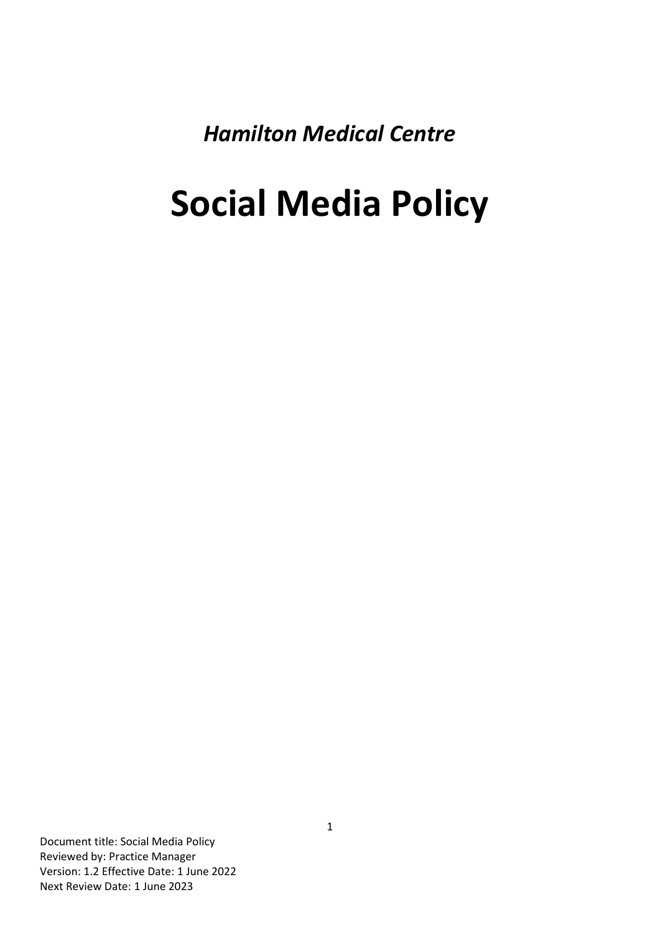*Hamilton Medical Centre*

# **Social Media Policy**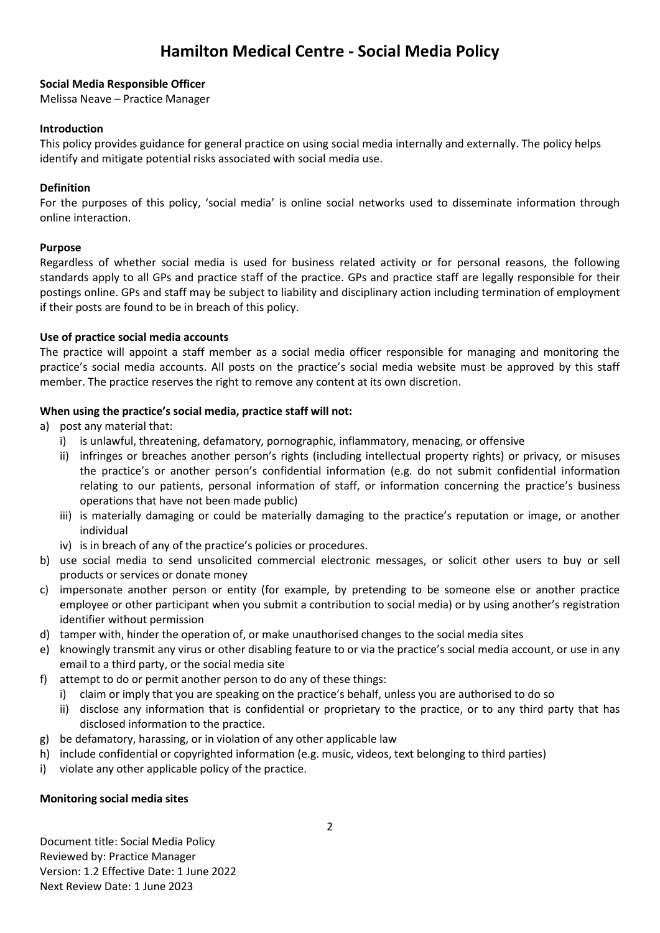# **Hamilton Medical Centre - Social Media Policy**

#### **Social Media Responsible Officer**

Melissa Neave – Practice Manager

#### **Introduction**

This policy provides guidance for general practice on using social media internally and externally. The policy helps identify and mitigate potential risks associated with social media use.

## **Definition**

For the purposes of this policy, 'social media' is online social networks used to disseminate information through online interaction.

#### **Purpose**

Regardless of whether social media is used for business related activity or for personal reasons, the following standards apply to all GPs and practice staff of the practice. GPs and practice staff are legally responsible for their postings online. GPs and staff may be subject to liability and disciplinary action including termination of employment if their posts are found to be in breach of this policy.

# **Use of practice social media accounts**

The practice will appoint a staff member as a social media officer responsible for managing and monitoring the practice's social media accounts. All posts on the practice's social media website must be approved by this staff member. The practice reserves the right to remove any content at its own discretion.

# **When using the practice's social media, practice staff will not:**

a) post any material that:

- i) is unlawful, threatening, defamatory, pornographic, inflammatory, menacing, or offensive
- ii) infringes or breaches another person's rights (including intellectual property rights) or privacy, or misuses the practice's or another person's confidential information (e.g. do not submit confidential information relating to our patients, personal information of staff, or information concerning the practice's business operations that have not been made public)
- iii) is materially damaging or could be materially damaging to the practice's reputation or image, or another individual
- iv) is in breach of any of the practice's policies or procedures.
- b) use social media to send unsolicited commercial electronic messages, or solicit other users to buy or sell products or services or donate money
- c) impersonate another person or entity (for example, by pretending to be someone else or another practice employee or other participant when you submit a contribution to social media) or by using another's registration identifier without permission
- d) tamper with, hinder the operation of, or make unauthorised changes to the social media sites
- e) knowingly transmit any virus or other disabling feature to or via the practice's social media account, or use in any email to a third party, or the social media site
- f) attempt to do or permit another person to do any of these things:
	- i) claim or imply that you are speaking on the practice's behalf, unless you are authorised to do so
		- ii) disclose any information that is confidential or proprietary to the practice, or to any third party that has disclosed information to the practice.
- g) be defamatory, harassing, or in violation of any other applicable law
- h) include confidential or copyrighted information (e.g. music, videos, text belonging to third parties)
- i) violate any other applicable policy of the practice.

#### **Monitoring social media sites**

Document title: Social Media Policy Reviewed by: Practice Manager Version: 1.2 Effective Date: 1 June 2022 Next Review Date: 1 June 2023